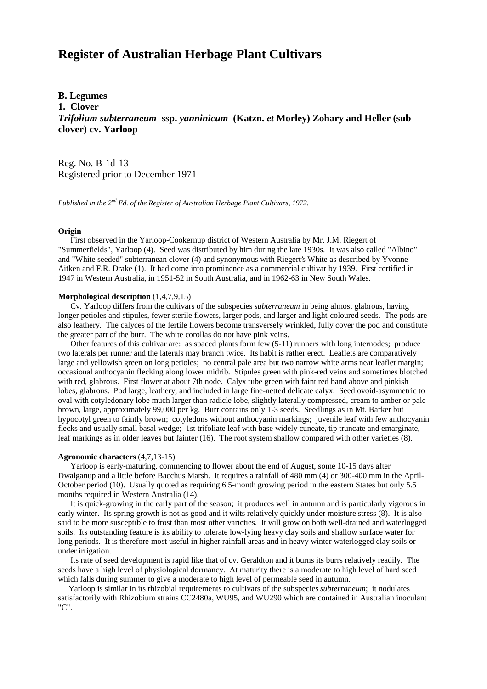# **Register of Australian Herbage Plant Cultivars**

## **B. Legumes**

**1. Clover**

*Trifolium subterraneum* **ssp.** *yanninicum* **(Katzn.** *et* **Morley) Zohary and Heller (sub clover) cv. Yarloop**

Reg. No. B-1d-13 Registered prior to December 1971

*Published in the 2nd Ed. of the Register of Australian Herbage Plant Cultivars, 1972.*

### **Origin**

 First observed in the Yarloop-Cookernup district of Western Australia by Mr. J.M. Riegert of "Summerfields", Yarloop (4). Seed was distributed by him during the late 1930s. It was also called "Albino" and "White seeded" subterranean clover (4) and synonymous with Riegert's White as described by Yvonne Aitken and F.R. Drake (1). It had come into prominence as a commercial cultivar by 1939. First certified in 1947 in Western Australia, in 1951-52 in South Australia, and in 1962-63 in New South Wales.

#### **Morphological description** (1,4,7,9,15)

 Cv. Yarloop differs from the cultivars of the subspecies *subterraneum* in being almost glabrous, having longer petioles and stipules, fewer sterile flowers, larger pods, and larger and light-coloured seeds. The pods are also leathery. The calyces of the fertile flowers become transversely wrinkled, fully cover the pod and constitute the greater part of the burr. The white corollas do not have pink veins.

 Other features of this cultivar are: as spaced plants form few (5-11) runners with long internodes; produce two laterals per runner and the laterals may branch twice. Its habit is rather erect. Leaflets are comparatively large and yellowish green on long petioles; no central pale area but two narrow white arms near leaflet margin; occasional anthocyanin flecking along lower midrib. Stipules green with pink-red veins and sometimes blotched with red, glabrous. First flower at about 7th node. Calyx tube green with faint red band above and pinkish lobes, glabrous. Pod large, leathery, and included in large fine-netted delicate calyx. Seed ovoid-asymmetric to oval with cotyledonary lobe much larger than radicle lobe, slightly laterally compressed, cream to amber or pale brown, large, approximately 99,000 per kg. Burr contains only 1-3 seeds. Seedlings as in Mt. Barker but hypocotyl green to faintly brown; cotyledons without anthocyanin markings; juvenile leaf with few anthocyanin flecks and usually small basal wedge; 1st trifoliate leaf with base widely cuneate, tip truncate and emarginate, leaf markings as in older leaves but fainter (16). The root system shallow compared with other varieties (8).

#### **Agronomic characters** (4,7,13-15)

 Yarloop is early-maturing, commencing to flower about the end of August, some 10-15 days after Dwalganup and a little before Bacchus Marsh. It requires a rainfall of 480 mm (4) or 300-400 mm in the April-October period (10). Usually quoted as requiring 6.5-month growing period in the eastern States but only 5.5 months required in Western Australia (14).

 It is quick-growing in the early part of the season; it produces well in autumn and is particularly vigorous in early winter. Its spring growth is not as good and it wilts relatively quickly under moisture stress (8). It is also said to be more susceptible to frost than most other varieties. It will grow on both well-drained and waterlogged soils. Its outstanding feature is its ability to tolerate low-lying heavy clay soils and shallow surface water for long periods. It is therefore most useful in higher rainfall areas and in heavy winter waterlogged clay soils or under irrigation.

 Its rate of seed development is rapid like that of cv. Geraldton and it burns its burrs relatively readily. The seeds have a high level of physiological dormancy. At maturity there is a moderate to high level of hard seed which falls during summer to give a moderate to high level of permeable seed in autumn.

 Yarloop is similar in its rhizobial requirements to cultivars of the subspecies *subterraneum*; it nodulates satisfactorily with Rhizobium strains CC2480a, WU95, and WU290 which are contained in Australian inoculant "C".